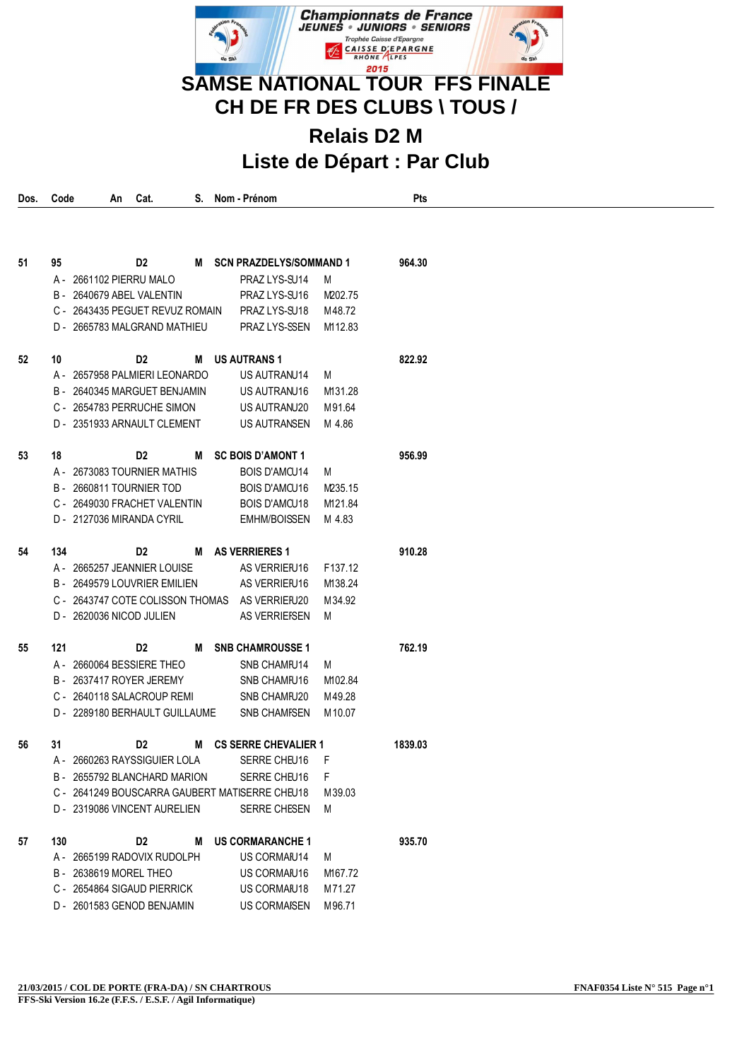

**CH DE FR DES CLUBS \ TOUS /**

## **Relais D2 M Liste de Départ : Par Club**

| Dos. | Code | An                               | Cat.           |   | Nom - Prénom                                   |         | Pts     |  |  |
|------|------|----------------------------------|----------------|---|------------------------------------------------|---------|---------|--|--|
|      |      |                                  |                |   |                                                |         |         |  |  |
| 51   | 95   |                                  | D <sub>2</sub> |   | M SCN PRAZDELYS/SOMMAND 1                      |         | 964.30  |  |  |
|      |      | A - 2661102 PIERRU MALO          |                |   | PRAZ LYS-SU14                                  | M       |         |  |  |
|      |      | B - 2640679 ABEL VALENTIN        |                |   | PRAZ LYS-SU16                                  | M202.75 |         |  |  |
|      |      | C - 2643435 PEGUET REVUZ ROMAIN  |                |   | PRAZ LYS-SU18                                  | M48.72  |         |  |  |
|      |      | D - 2665783 MALGRAND MATHIEU     |                |   | PRAZ LYS-SSEN                                  | M112.83 |         |  |  |
| 52   | 10   |                                  | D2             |   | M US AUTRANS 1                                 |         | 822.92  |  |  |
|      |      | A - 2657958 PALMIERI LEONARDO    |                |   | US AUTRANU14                                   | M       |         |  |  |
|      |      | B - 2640345 MARGUET BENJAMIN     |                |   | US AUTRANU16                                   | M131.28 |         |  |  |
|      |      | C - 2654783 PERRUCHE SIMON       |                |   | US AUTRANU20                                   | M91.64  |         |  |  |
|      |      | D - 2351933 ARNAULT CLEMENT      |                |   | US AUTRANSEN                                   | M 4.86  |         |  |  |
| 53   | 18   |                                  | D2             | м | <b>SC BOIS D'AMONT 1</b>                       |         | 956.99  |  |  |
|      |      | A - 2673083 TOURNIER MATHIS      |                |   | <b>BOIS D'AMCU14</b>                           | M       |         |  |  |
|      |      | B - 2660811 TOURNIER TOD         |                |   | <b>BOIS D'AMCU16</b>                           | M235.15 |         |  |  |
|      |      | C - 2649030 FRACHET VALENTIN     |                |   | <b>BOIS D'AMCU18</b>                           | M121.84 |         |  |  |
|      |      | D - 2127036 MIRANDA CYRIL        |                |   | <b>EMHM/BOISSEN</b>                            | M 4.83  |         |  |  |
| 54   | 134  |                                  | D2             |   | M AS VERRIERES 1                               |         | 910.28  |  |  |
|      |      | A - 2665257 JEANNIER LOUISE      |                |   | AS VERRIEFU16                                  | F137.12 |         |  |  |
|      |      | B - 2649579 LOUVRIER EMILIEN     |                |   | AS VERRIEFU16                                  | M138.24 |         |  |  |
|      |      | C - 2643747 COTE COLISSON THOMAS |                |   | AS VERRIEFU20                                  | M34.92  |         |  |  |
|      |      | D - 2620036 NICOD JULIEN         |                |   | AS VERRIEFSEN                                  | M       |         |  |  |
| 55   | 121  |                                  | D2             | М | <b>SNB CHAMROUSSE 1</b>                        |         | 762.19  |  |  |
|      |      | A - 2660064 BESSIERE THEO        |                |   | SNB CHAMFU14                                   | M       |         |  |  |
|      |      | B - 2637417 ROYER JEREMY         |                |   | SNB CHAMFU16                                   | M102.84 |         |  |  |
|      |      | C - 2640118 SALACROUP REMI       |                |   | SNB CHAMFU20                                   | M49.28  |         |  |  |
|      |      | D - 2289180 BERHAULT GUILLAUME   |                |   | <b>SNB CHAMFSEN</b>                            | M 10.07 |         |  |  |
| 56   | 31   |                                  | D <sub>2</sub> |   | M CS SERRE CHEVALIER 1                         |         | 1839.03 |  |  |
|      |      | A - 2660263 RAYSSIGUIER LOLA     |                |   | SERRE CHEU16                                   | F       |         |  |  |
|      |      | B - 2655792 BLANCHARD MARION     |                |   | SERRE CHEU16                                   | F       |         |  |  |
|      |      |                                  |                |   | C - 2641249 BOUSCARRA GAUBERT MATISERRE CHEU18 | M 39.03 |         |  |  |
|      |      | D - 2319086 VINCENT AURELIEN     |                |   | SERRE CHESEN                                   | M       |         |  |  |
| 57   | 130  |                                  | D <sub>2</sub> | M | <b>US CORMARANCHE 1</b>                        |         | 935.70  |  |  |
|      |      | A - 2665199 RADOVIX RUDOLPH      |                |   | US CORMAIU14                                   | M       |         |  |  |
|      |      | B - 2638619 MOREL THEO           |                |   | US CORMAIU16                                   | M167.72 |         |  |  |
|      |      | C - 2654864 SIGAUD PIERRICK      |                |   | US CORMAIU18                                   | M71.27  |         |  |  |
|      |      | D - 2601583 GENOD BENJAMIN       |                |   | <b>US CORMAISEN</b>                            | M96.71  |         |  |  |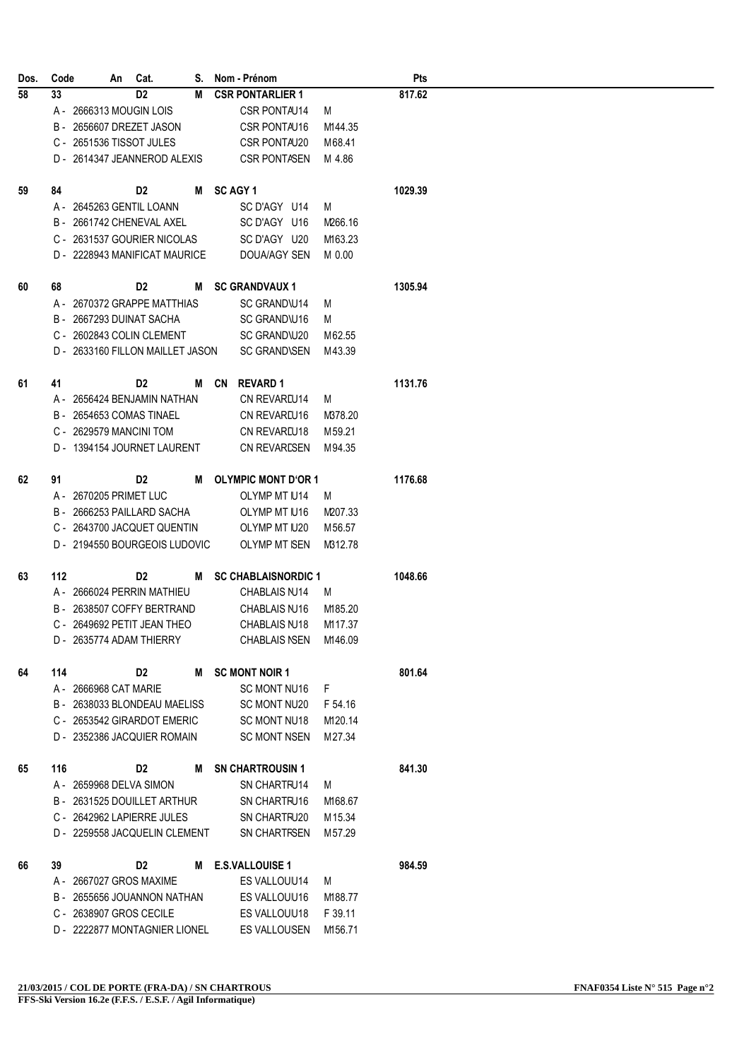| Dos. | Code |                       | An Cat.                          |   | S. Nom - Prénom            |         | <b>Pts</b> |
|------|------|-----------------------|----------------------------------|---|----------------------------|---------|------------|
| 58   | 33   |                       | D <sub>2</sub>                   | М | <b>CSR PONTARLIER 1</b>    |         | 817.62     |
|      |      |                       | A - 2666313 MOUGIN LOIS          |   | CSR PONTAU14               | M       |            |
|      |      |                       | B - 2656607 DREZET JASON         |   | CSR PONTAU16               | M144.35 |            |
|      |      |                       | C - 2651536 TISSOT JULES         |   | CSR PONTAU20               | M68.41  |            |
|      |      |                       | D - 2614347 JEANNEROD ALEXIS     |   | CSR PONTASEN               | M 4.86  |            |
|      |      |                       |                                  |   |                            |         |            |
| 59   | 84   |                       | D <sub>2</sub>                   |   | M SCAGY1                   |         | 1029.39    |
|      |      |                       | A - 2645263 GENTIL LOANN         |   | SC D'AGY U14               | M       |            |
|      |      |                       | B - 2661742 CHENEVAL AXEL        |   | SC D'AGY U16               | M266.16 |            |
|      |      |                       | C - 2631537 GOURIER NICOLAS      |   | SC D'AGY U20               | M163.23 |            |
|      |      |                       | D - 2228943 MANIFICAT MAURICE    |   | DOUA/AGY SEN               | M 0.00  |            |
|      |      |                       |                                  |   |                            |         |            |
| 60   | 68   |                       | D2                               | М | <b>SC GRANDVAUX 1</b>      |         | 1305.94    |
|      |      |                       | A - 2670372 GRAPPE MATTHIAS      |   | SC GRAND\U14               | M       |            |
|      |      |                       | B - 2667293 DUINAT SACHA         |   | SC GRAND\U16               | M       |            |
|      |      |                       | C - 2602843 COLIN CLEMENT        |   | SC GRAND\U20               | M62.55  |            |
|      |      |                       | D - 2633160 FILLON MAILLET JASON |   | <b>SC GRAND\SEN</b>        | M43.39  |            |
|      |      |                       |                                  |   |                            |         |            |
| 61   | 41   |                       | D <sub>2</sub>                   | м | CN REVARD 1                |         | 1131.76    |
|      |      |                       | A - 2656424 BENJAMIN NATHAN      |   | CN REVAREU14               | M       |            |
|      |      |                       | B - 2654653 COMAS TINAEL         |   | CN REVAREU16               | M378.20 |            |
|      |      |                       | C - 2629579 MANCINI TOM          |   | CN REVAREU18               | M 59.21 |            |
|      |      |                       | D - 1394154 JOURNET LAURENT      |   | <b>CN REVARESEN</b>        | M94.35  |            |
|      |      |                       |                                  |   |                            |         |            |
| 62   | 91   |                       | D2                               | M | <b>OLYMPIC MONT D'OR 1</b> |         | 1176.68    |
|      |      |                       | A - 2670205 PRIMET LUC           |   | OLYMP MT IU14              | M       |            |
|      |      |                       | B - 2666253 PAILLARD SACHA       |   | OLYMP MT IU16              | M207.33 |            |
|      |      |                       | C - 2643700 JACQUET QUENTIN      |   | OLYMP MT U20               | M56.57  |            |
|      |      |                       | D - 2194550 BOURGEOIS LUDOVIC    |   | OLYMP MT ISEN              | M312.78 |            |
|      |      |                       |                                  |   |                            |         |            |
| 63   | 112  |                       | D2                               |   | M SC CHABLAISNORDIC 1      |         | 1048.66    |
|      |      |                       | A - 2666024 PERRIN MATHIEU       |   | CHABLAIS NJ14              | M       |            |
|      |      |                       | B - 2638507 COFFY BERTRAND       |   | CHABLAIS NJ16              | M185.20 |            |
|      |      |                       | C - 2649692 PETIT JEAN THEO      |   | CHABLAIS NJ18              | M117.37 |            |
|      |      |                       | D - 2635774 ADAM THIERRY         |   | CHABLAIS NSEN M146.09      |         |            |
|      |      |                       |                                  |   |                            |         |            |
| 64   | 114  |                       | D2                               |   | M SC MONT NOIR 1           |         | 801.64     |
|      |      | A - 2666968 CAT MARIE |                                  |   | SC MONT NU16               | F.      |            |
|      |      |                       | B - 2638033 BLONDEAU MAELISS     |   | SC MONT NU20               | F 54.16 |            |
|      |      |                       | C - 2653542 GIRARDOT EMERIC      |   | <b>SC MONT NU18</b>        | M120.14 |            |
|      |      |                       | D - 2352386 JACQUIER ROMAIN      |   | <b>SC MONT NSEN</b>        | M 27.34 |            |
|      |      |                       |                                  |   |                            |         |            |
| 65   | 116  |                       | D2                               | м | <b>SN CHARTROUSIN 1</b>    |         | 841.30     |
|      |      |                       | A - 2659968 DELVA SIMON          |   | SN CHARTFU14               | M       |            |
|      |      |                       | B - 2631525 DOUILLET ARTHUR      |   | SN CHARTFU16               | M168.67 |            |
|      |      |                       | C - 2642962 LAPIERRE JULES       |   | SN CHARTFU20               | M 15.34 |            |
|      |      |                       | D - 2259558 JACQUELIN CLEMENT    |   | <b>SN CHARTFSEN</b>        | M 57.29 |            |
| 66   | 39   |                       | D2                               | М | <b>E.S.VALLOUISE 1</b>     |         | 984.59     |
|      |      |                       | A - 2667027 GROS MAXIME          |   | ES VALLOUU14               | M       |            |
|      |      |                       | B - 2655656 JOUANNON NATHAN      |   | ES VALLOUU16               | M188.77 |            |
|      |      |                       |                                  |   |                            |         |            |
|      |      |                       | C - 2638907 GROS CECILE          |   | ES VALLOUU18               | F 39.11 |            |
|      |      |                       | D - 2222877 MONTAGNIER LIONEL    |   | ES VALLOUSEN               | M156.71 |            |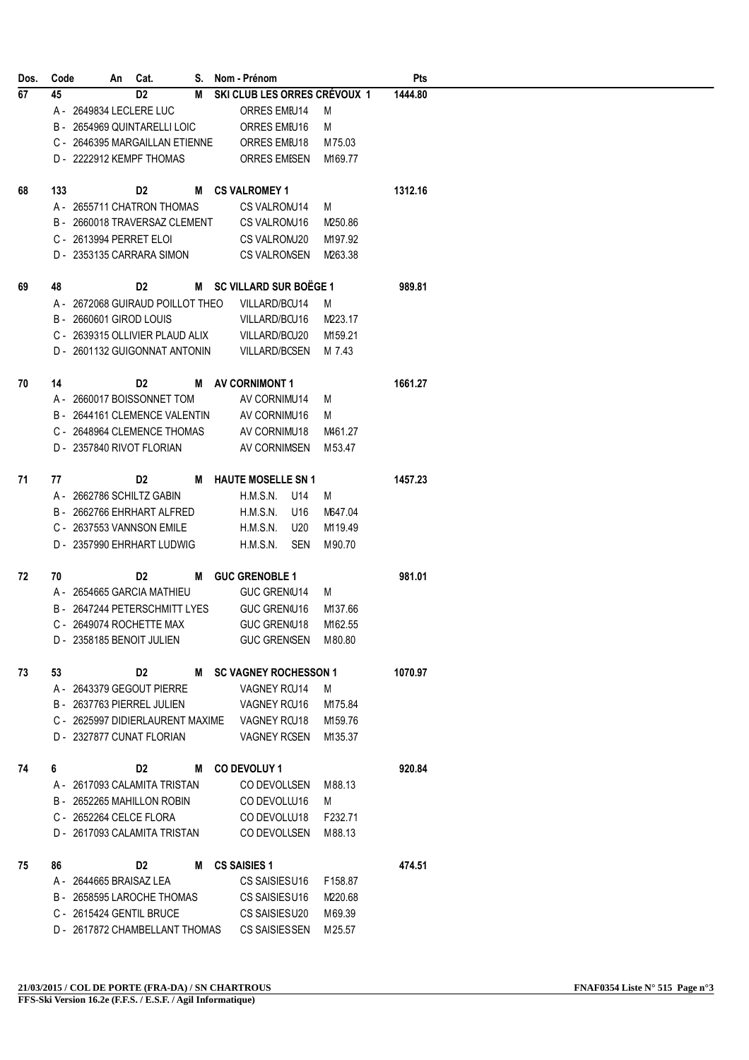| Dos. | Code |  | An Cat.                                       |   | S. Nom - Prénom           |                     |                       |                              | <b>Pts</b> |
|------|------|--|-----------------------------------------------|---|---------------------------|---------------------|-----------------------|------------------------------|------------|
| 67   | 45   |  | D <sub>2</sub>                                | М |                           |                     |                       | SKI CLUB LES ORRES CRÉVOUX 1 | 1444.80    |
|      |      |  | A - 2649834 LECLERE LUC                       |   |                           | ORRES EMIU14        |                       | M                            |            |
|      |      |  | B - 2654969 QUINTARELLI LOIC                  |   |                           | ORRES EMIU16        |                       | M                            |            |
|      |      |  | C - 2646395 MARGAILLAN ETIENNE                |   |                           | ORRES EMIU18        |                       | M75.03                       |            |
|      |      |  | D - 2222912 KEMPF THOMAS                      |   |                           |                     | <b>ORRES EMISEN</b>   | M169.77                      |            |
|      |      |  |                                               |   |                           |                     |                       |                              |            |
| 68   | 133  |  | D2                                            | м | <b>CS VALROMEY 1</b>      |                     |                       |                              | 1312.16    |
|      |      |  | A - 2655711 CHATRON THOMAS                    |   |                           | CS VALROMU14        |                       | M                            |            |
|      |      |  | B - 2660018 TRAVERSAZ CLEMENT                 |   |                           | CS VALROMU16        |                       | M250.86                      |            |
|      |      |  | C - 2613994 PERRET ELOI                       |   |                           | CS VALROMU20        |                       | M197.92                      |            |
|      |      |  | D - 2353135 CARRARA SIMON                     |   |                           |                     | <b>CS VALRONSEN</b>   | M263.38                      |            |
|      |      |  |                                               |   |                           |                     |                       |                              |            |
| 69   | 48   |  | D2                                            |   | M SC VILLARD SUR BOËGE 1  |                     |                       |                              | 989.81     |
|      |      |  | A - 2672068 GUIRAUD POILLOT THEO              |   |                           | VILLARD/BCU14       |                       | M                            |            |
|      |      |  | B - 2660601 GIROD LOUIS                       |   |                           | VILLARD/BCU16       |                       | M223.17                      |            |
|      |      |  | C - 2639315 OLLIVIER PLAUD ALIX               |   |                           | VILLARD/BCU20       |                       | M159.21                      |            |
|      |      |  | D - 2601132 GUIGONNAT ANTONIN                 |   |                           |                     | VILLARD/BCSEN         | M 7.43                       |            |
|      |      |  |                                               |   |                           |                     |                       |                              |            |
| 70   | 14   |  | D2                                            |   | M AV CORNIMONT 1          |                     |                       |                              | 1661.27    |
|      |      |  | A - 2660017 BOISSONNET TOM                    |   |                           | AV CORNIMU14        |                       | M                            |            |
|      |      |  | B - 2644161 CLEMENCE VALENTIN                 |   |                           | AV CORNIMU16        |                       | M                            |            |
|      |      |  | C - 2648964 CLEMENCE THOMAS                   |   |                           | AV CORNIMU18        |                       | M461.27                      |            |
|      |      |  | D - 2357840 RIVOT FLORIAN                     |   |                           |                     | AV CORNIMSEN          | M 53.47                      |            |
|      |      |  |                                               |   |                           |                     |                       |                              |            |
| 71   | 77   |  | D2                                            | М | <b>HAUTE MOSELLE SN 1</b> |                     |                       |                              | 1457.23    |
|      |      |  | A - 2662786 SCHILTZ GABIN                     |   | <b>H.M.S.N.</b>           |                     | U14                   | M                            |            |
|      |      |  | B - 2662766 EHRHART ALFRED                    |   | H.M.S.N.                  |                     | U16                   | M647.04                      |            |
|      |      |  | C - 2637553 VANNSON EMILE                     |   | <b>H.M.S.N.</b>           |                     | U20                   | M119.49                      |            |
|      |      |  | D - 2357990 EHRHART LUDWIG                    |   | H.M.S.N.                  |                     | <b>SEN</b>            | M90.70                       |            |
|      |      |  |                                               |   |                           |                     |                       |                              |            |
| 72   | 70   |  | D2                                            |   | M GUC GRENOBLE 1          |                     |                       |                              | 981.01     |
|      |      |  | A - 2654665 GARCIA MATHIEU                    |   |                           | <b>GUC GREN(U14</b> |                       | M                            |            |
|      |      |  | B - 2647244 PETERSCHMITT LYES                 |   |                           | GUC GREN(U16        |                       | M137.66                      |            |
|      |      |  | C - 2649074 ROCHETTE MAX                      |   |                           | GUC GREN(U18        |                       | M162.55                      |            |
|      |      |  | D - 2358185 BENOIT JULIEN                     |   |                           |                     |                       | GUC GREN(SEN M80.80          |            |
|      |      |  |                                               |   |                           |                     |                       |                              |            |
| 73   | 53   |  | D2                                            |   | M SC VAGNEY ROCHESSON 1   |                     |                       |                              | 1070.97    |
|      |      |  | A - 2643379 GEGOUT PIERRE                     |   |                           | <b>VAGNEY RCU14</b> |                       | M                            |            |
|      |      |  | B - 2637763 PIERREL JULIEN                    |   |                           | VAGNEY RCU16        |                       | M175.84                      |            |
|      |      |  | C - 2625997 DIDIERLAURENT MAXIME VAGNEY RCU18 |   |                           |                     |                       | M159.76                      |            |
|      |      |  | D - 2327877 CUNAT FLORIAN                     |   |                           |                     | VAGNEY RCSEN          | M135.37                      |            |
|      |      |  |                                               |   |                           |                     |                       |                              |            |
| 74   | 6    |  | D2                                            |   | M CO DEVOLUY 1            |                     |                       |                              | 920.84     |
|      |      |  | A - 2617093 CALAMITA TRISTAN                  |   |                           |                     |                       | CO DEVOLLSEN M88.13          |            |
|      |      |  | B - 2652265 MAHILLON ROBIN                    |   |                           | CO DEVOLLU16        |                       | M                            |            |
|      |      |  | C - 2652264 CELCE FLORA                       |   |                           | CO DEVOLLU18        |                       | F232.71                      |            |
|      |      |  | D - 2617093 CALAMITA TRISTAN                  |   |                           |                     | CO DEVOLLSEN          | M88.13                       |            |
|      |      |  |                                               |   |                           |                     |                       |                              |            |
| 75   | 86   |  | D2                                            | M | <b>CS SAISIES 1</b>       |                     |                       |                              | 474.51     |
|      |      |  | A - 2644665 BRAISAZ LEA                       |   |                           | CS SAISIESU16       |                       | F158.87                      |            |
|      |      |  | B - 2658595 LAROCHE THOMAS                    |   |                           | CS SAISIESU16       |                       | M220.68                      |            |
|      |      |  | C - 2615424 GENTIL BRUCE                      |   |                           | CS SAISIESU20       |                       | M69.39                       |            |
|      |      |  | D - 2617872 CHAMBELLANT THOMAS                |   |                           |                     | <b>CS SAISIES SEN</b> | M25.57                       |            |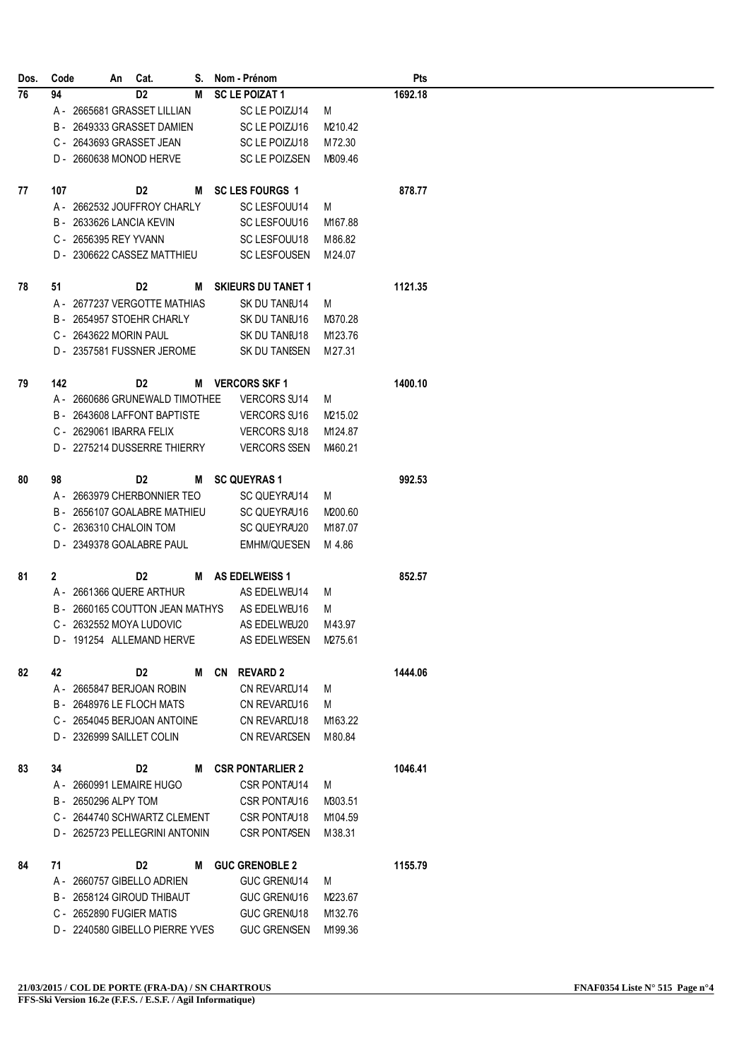| Dos. | Code         |                           | An Cat.                         |   | S. Nom - Prénom           |         | Pts     |
|------|--------------|---------------------------|---------------------------------|---|---------------------------|---------|---------|
| 76   | 94           |                           | D <sub>2</sub>                  | М | <b>SC LE POIZAT 1</b>     |         | 1692.18 |
|      |              |                           | A - 2665681 GRASSET LILLIAN     |   | SC LE POIZU14             | M       |         |
|      |              |                           | B - 2649333 GRASSET DAMIEN      |   | SC LE POIZU16             | M210.42 |         |
|      |              | C - 2643693 GRASSET JEAN  |                                 |   | SC LE POIZU18             | M72.30  |         |
|      |              |                           | D - 2660638 MONOD HERVE         |   | SC LE POIZSEN             | M809.46 |         |
|      |              |                           |                                 |   |                           |         |         |
| 77   | 107          |                           | D2                              | М | <b>SC LES FOURGS 1</b>    |         | 878.77  |
|      |              |                           | A - 2662532 JOUFFROY CHARLY     |   | SC LESFOUU14              | M       |         |
|      |              | B - 2633626 LANCIA KEVIN  |                                 |   | SC LESFOUU16              | M167.88 |         |
|      |              | C - 2656395 REY YVANN     |                                 |   | SC LESFOUU18              | M 86.82 |         |
|      |              |                           | D - 2306622 CASSEZ MATTHIEU     |   | <b>SC LESFOUSEN</b>       | M 24.07 |         |
|      |              |                           |                                 |   |                           |         |         |
| 78   | 51           |                           | D2                              | М | <b>SKIEURS DU TANET 1</b> |         | 1121.35 |
|      |              |                           | A - 2677237 VERGOTTE MATHIAS    |   | SK DU TANIU14             | M       |         |
|      |              |                           | B - 2654957 STOEHR CHARLY       |   | SK DU TANIU16             | M370.28 |         |
|      |              | C - 2643622 MORIN PAUL    |                                 |   | SK DU TANIU18             | M123.76 |         |
|      |              |                           | D - 2357581 FUSSNER JEROME      |   | SK DU TANISEN             | M27.31  |         |
|      |              |                           |                                 |   |                           |         |         |
| 79   | 142          |                           | D2                              |   | M VERCORS SKF 1           |         | 1400.10 |
|      |              |                           | A - 2660686 GRUNEWALD TIMOTHEE  |   | <b>VERCORS SU14</b>       | M       |         |
|      |              |                           | B - 2643608 LAFFONT BAPTISTE    |   | <b>VERCORS SU16</b>       | M215.02 |         |
|      |              | C - 2629061 IBARRA FELIX  |                                 |   | <b>VERCORS SU18</b>       | M124.87 |         |
|      |              |                           | D - 2275214 DUSSERRE THIERRY    |   | <b>VERCORS SSEN</b>       | M460.21 |         |
|      |              |                           |                                 |   |                           |         |         |
| 80   | 98           |                           | D2                              |   | M SC QUEYRAS 1            |         | 992.53  |
|      |              |                           | A - 2663979 CHERBONNIER TEO     |   | SC QUEYRAU14              | M       |         |
|      |              |                           | B - 2656107 GOALABRE MATHIEU    |   | SC QUEYRAU16              | M200.60 |         |
|      |              | C - 2636310 CHALOIN TOM   |                                 |   | SC QUEYRAU20              | M187.07 |         |
|      |              |                           | D - 2349378 GOALABRE PAUL       |   | EMHM/QUE'SEN              | M 4.86  |         |
|      |              |                           |                                 |   |                           |         |         |
| 81   | $\mathbf{2}$ |                           | D2                              |   | M AS EDELWEISS 1          |         | 852.57  |
|      |              |                           | A - 2661366 QUERE ARTHUR        |   | AS EDELWEU14              | M       |         |
|      |              |                           | B - 2660165 COUTTON JEAN MATHYS |   | AS EDELWEU16              | M       |         |
|      |              |                           | C - 2632552 MOYA LUDOVIC        |   | AS EDELWEU20              | M43.97  |         |
|      |              |                           | D - 191254 ALLEMAND HERVE       |   | AS EDELWESEN M275.61      |         |         |
|      |              |                           |                                 |   |                           |         |         |
| 82   | 42           |                           | D2                              | M | CN REVARD 2               |         | 1444.06 |
|      |              |                           | A - 2665847 BERJOAN ROBIN       |   | CN REVAREU14              | M       |         |
|      |              |                           | B - 2648976 LE FLOCH MATS       |   | CN REVAREU16              | M       |         |
|      |              |                           | C - 2654045 BERJOAN ANTOINE     |   | CN REVARIU18              | M163.22 |         |
|      |              | D - 2326999 SAILLET COLIN |                                 |   | <b>CN REVARESEN</b>       | M 80.84 |         |
|      |              |                           |                                 |   |                           |         |         |
| 83   | 34           |                           | D2                              |   | M CSR PONTARLIER 2        |         | 1046.41 |
|      |              |                           | A - 2660991 LEMAIRE HUGO        |   | CSR PONTAU14              | M       |         |
|      |              | B - 2650296 ALPY TOM      |                                 |   | CSR PONTAU16              | M303.51 |         |
|      |              |                           | C - 2644740 SCHWARTZ CLEMENT    |   | CSR PONTAU18              | M104.59 |         |
|      |              |                           | D - 2625723 PELLEGRINI ANTONIN  |   | <b>CSR PONTASEN</b>       | M38.31  |         |
|      |              |                           |                                 |   |                           |         |         |
| 84   | 71           |                           | D2                              | M | <b>GUC GRENOBLE 2</b>     |         | 1155.79 |
|      |              |                           | A - 2660757 GIBELLO ADRIEN      |   | <b>GUC GREN(U14</b>       | M       |         |
|      |              |                           | B - 2658124 GIROUD THIBAUT      |   | GUC GREN(U16              | M223.67 |         |
|      |              | C - 2652890 FUGIER MATIS  |                                 |   | <b>GUC GREN/U18</b>       | M132.76 |         |
|      |              |                           | D - 2240580 GIBELLO PIERRE YVES |   | <b>GUC GRENISEN</b>       | M199.36 |         |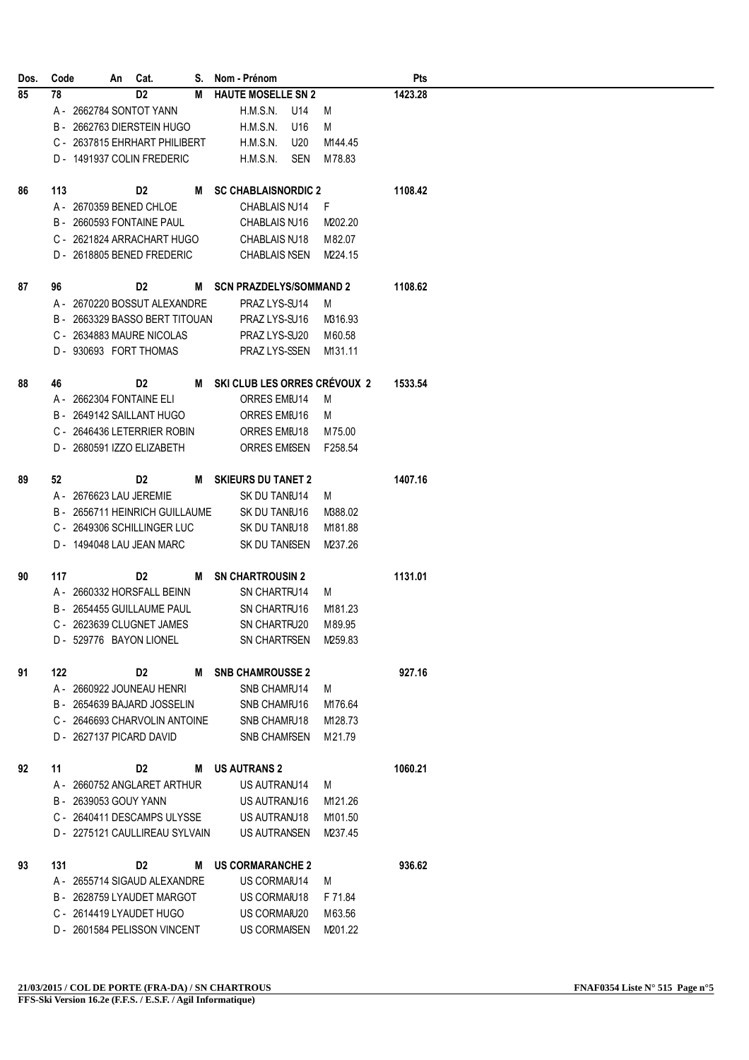|    | Code |                       | An Cat.                                                  |   | S. Nom - Prénom                |            |                   | Pts     |
|----|------|-----------------------|----------------------------------------------------------|---|--------------------------------|------------|-------------------|---------|
| 85 | 78   |                       | D <sub>2</sub>                                           | М | <b>HAUTE MOSELLE SN 2</b>      |            |                   | 1423.28 |
|    |      |                       | A - 2662784 SONTOT YANN                                  |   | H.M.S.N.                       | U14        | M                 |         |
|    |      |                       | B - 2662763 DIERSTEIN HUGO                               |   | <b>H.M.S.N.</b>                | U16        | M                 |         |
|    |      |                       | C - 2637815 EHRHART PHILIBERT                            |   | H.M.S.N.                       | U20        | M144.45           |         |
|    |      |                       | D - 1491937 COLIN FREDERIC                               |   | H.M.S.N.                       | <b>SEN</b> | M78.83            |         |
|    |      |                       |                                                          |   |                                |            |                   |         |
| 86 | 113  |                       | D2                                                       |   | M SC CHABLAISNORDIC 2          |            |                   | 1108.42 |
|    |      |                       | A - 2670359 BENED CHLOE                                  |   | CHABLAIS NJ14                  |            | F.                |         |
|    |      |                       | B - 2660593 FONTAINE PAUL                                |   | CHABLAIS NJ16                  |            | M202.20           |         |
|    |      |                       | C - 2621824 ARRACHART HUGO                               |   | CHABLAIS NJ18                  |            | M 82.07           |         |
|    |      |                       | D - 2618805 BENED FREDERIC                               |   | <b>CHABLAIS NSEN</b>           |            | M224.15           |         |
|    |      |                       |                                                          |   |                                |            |                   |         |
| 87 | 96   |                       | D2                                                       |   | M SCN PRAZDELYS/SOMMAND 2      |            |                   | 1108.62 |
|    |      |                       | A - 2670220 BOSSUT ALEXANDRE                             |   | PRAZ LYS-SU14                  |            | M                 |         |
|    |      |                       | B - 2663329 BASSO BERT TITOUAN                           |   | PRAZ LYS-SU16                  |            | M316.93           |         |
|    |      |                       | C - 2634883 MAURE NICOLAS                                |   | PRAZ LYS-SU20                  |            | M60.58            |         |
|    |      |                       | D - 930693 FORT THOMAS                                   |   | PRAZ LYS-SSEN                  |            | M131.11           |         |
|    |      |                       |                                                          |   |                                |            |                   |         |
| 88 | 46   |                       | D2                                                       |   | M SKI CLUB LES ORRES CRÉVOUX 2 |            |                   | 1533.54 |
|    |      |                       | A - 2662304 FONTAINE ELI                                 |   | ORRES EMIU14                   |            | M                 |         |
|    |      |                       | B - 2649142 SAILLANT HUGO                                |   | ORRES EMEU16                   |            | M                 |         |
|    |      |                       | C - 2646436 LETERRIER ROBIN                              |   | ORRES EMIU18                   |            | M75.00            |         |
|    |      |                       | D - 2680591 IZZO ELIZABETH                               |   | <b>ORRES EMISEN</b>            |            | F258.54           |         |
|    |      |                       |                                                          |   |                                |            |                   |         |
| 89 | 52   |                       | D2                                                       |   | M SKIEURS DU TANET 2           |            |                   | 1407.16 |
|    |      |                       | A - 2676623 LAU JEREMIE                                  |   | SK DU TANIU14                  |            | M                 |         |
|    |      |                       | B - 2656711 HEINRICH GUILLAUME                           |   | SK DU TANIU16                  |            | M388.02           |         |
|    |      |                       | C - 2649306 SCHILLINGER LUC                              |   | SK DU TANIU18                  |            | M181.88           |         |
|    |      |                       | D - 1494048 LAU JEAN MARC                                |   | SK DU TANISEN                  |            | M237.26           |         |
|    |      |                       |                                                          |   |                                |            |                   |         |
| 90 | 117  |                       | D2                                                       |   | M SN CHARTROUSIN 2             |            |                   | 1131.01 |
|    |      |                       | A - 2660332 HORSFALL BEINN                               |   | SN CHARTFU14                   |            | M                 |         |
|    |      |                       | B - 2654455 GUILLAUME PAUL                               |   | SN CHARTFU16                   |            | M181.23           |         |
|    |      |                       | C - 2623639 CLUGNET JAMES                                |   | SN CHARTFU20                   |            | M89.95            |         |
|    |      |                       |                                                          |   |                                |            |                   |         |
|    |      |                       | D - 529776 BAYON LIONEL                                  |   | SN CHARTFSEN M259.83           |            |                   |         |
| 91 | 122  |                       | D2                                                       |   | M SNB CHAMROUSSE 2             |            |                   | 927.16  |
|    |      |                       | A - 2660922 JOUNEAU HENRI                                |   |                                |            |                   |         |
|    |      |                       |                                                          |   | SNB CHAMFU14                   |            | M                 |         |
|    |      |                       | B - 2654639 BAJARD JOSSELIN                              |   | SNB CHAMFU16                   |            | M176.64           |         |
|    |      |                       | C - 2646693 CHARVOLIN ANTOINE                            |   | SNB CHAMFU18                   |            | M128.73           |         |
|    |      |                       | D - 2627137 PICARD DAVID                                 |   | <b>SNB CHAMFSEN</b>            |            | M21.79            |         |
|    |      |                       |                                                          |   |                                |            |                   |         |
| 92 | 11   |                       | D2                                                       |   | <b>M</b> US AUTRANS 2          |            |                   | 1060.21 |
|    |      |                       | A - 2660752 ANGLARET ARTHUR                              |   | US AUTRANU14                   |            | M                 |         |
|    |      | B - 2639053 GOUY YANN |                                                          |   | US AUTRANU16                   |            | M121.26           |         |
|    |      |                       | C - 2640411 DESCAMPS ULYSSE                              |   | US AUTRANU18                   |            | M101.50           |         |
|    |      |                       | D - 2275121 CAULLIREAU SYLVAIN                           |   | US AUTRANSEN                   |            | M237.45           |         |
|    |      |                       |                                                          |   |                                |            |                   |         |
| 93 | 131  |                       | D2                                                       | м | <b>US CORMARANCHE 2</b>        |            |                   | 936.62  |
|    |      |                       | A - 2655714 SIGAUD ALEXANDRE                             |   | US CORMAIU14                   |            | M                 |         |
|    |      |                       | B - 2628759 LYAUDET MARGOT                               |   | US CORMAIU18                   |            | F 71.84           |         |
|    |      |                       |                                                          |   |                                |            |                   |         |
|    |      |                       | C - 2614419 LYAUDET HUGO<br>D - 2601584 PELISSON VINCENT |   | US CORMAIU20<br>US CORMAISEN   |            | M63.56<br>M201.22 |         |